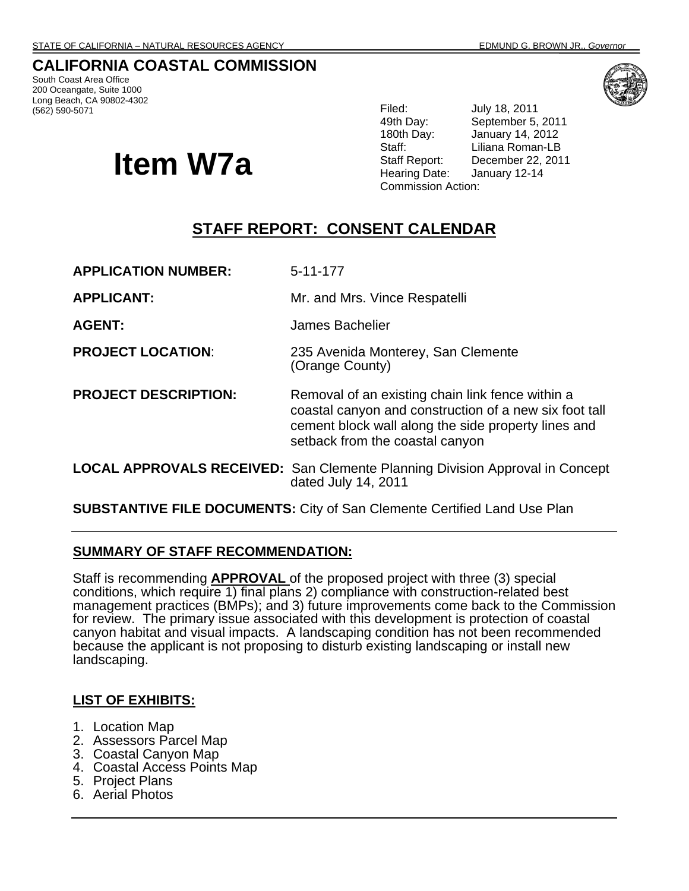# **CALIFORNIA COASTAL COMMISSION**

South Coast Area Office 200 Oceangate, Suite 1000 Long Beach, CA 90802-4302<br>(562) 590-5071

# **Item W7a**

Filed: **July 18, 2011** 49th Day: September 5, 2011 180th Day: January 14, 2012 Staff: Liliana Roman-LB Staff Report: December 22, 2011<br>Hearing Date: January 12-14 January 12-14 Commission Action:

# **STAFF REPORT: CONSENT CALENDAR**

**APPLICATION NUMBER:** 5-11-177

**APPLICANT:** Mr. and Mrs. Vince Respatelli

**AGENT:** James Bachelier

- **PROJECT LOCATION**: 235 Avenida Monterey, San Clemente (Orange County)
- **PROJECT DESCRIPTION:** Removal of an existing chain link fence within a coastal canyon and construction of a new six foot tall cement block wall along the side property lines and setback from the coastal canyon
- **LOCAL APPROVALS RECEIVED:** San Clemente Planning Division Approval in Concept dated July 14, 2011

**SUBSTANTIVE FILE DOCUMENTS:** City of San Clemente Certified Land Use Plan

## **SUMMARY OF STAFF RECOMMENDATION:**

Staff is recommending **APPROVAL** of the proposed project with three (3) special conditions, which require 1) final plans 2) compliance with construction-related best management practices (BMPs); and 3) future improvements come back to the Commission for review. The primary issue associated with this development is protection of coastal canyon habitat and visual impacts. A landscaping condition has not been recommended because the applicant is not proposing to disturb existing landscaping or install new landscaping.

## **LIST OF EXHIBITS:**

- 1. Location Map
- 2. Assessors Parcel Map
- 3. Coastal Canyon Map
- 4. Coastal Access Points Map
- 5. Project Plans
- 6. Aerial Photos

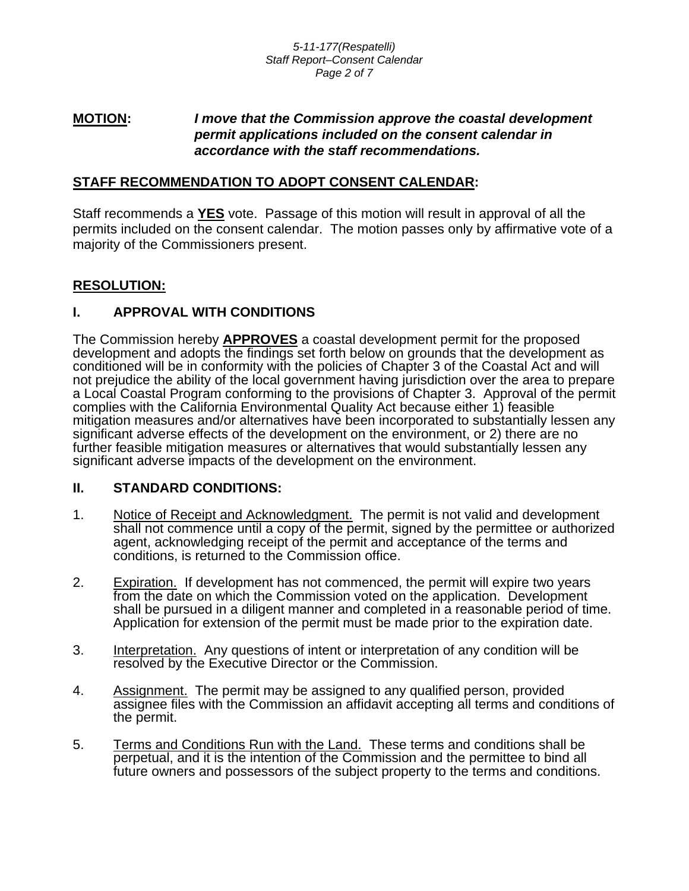## **MOTION:** *I move that the Commission approve the coastal development permit applications included on the consent calendar in accordance with the staff recommendations.*

## **STAFF RECOMMENDATION TO ADOPT CONSENT CALENDAR:**

Staff recommends a **YES** vote. Passage of this motion will result in approval of all the permits included on the consent calendar. The motion passes only by affirmative vote of a majority of the Commissioners present.

## **RESOLUTION:**

## **I. APPROVAL WITH CONDITIONS**

The Commission hereby **APPROVES** a coastal development permit for the proposed development and adopts the findings set forth below on grounds that the development as conditioned will be in conformity with the policies of Chapter 3 of the Coastal Act and will not prejudice the ability of the local government having jurisdiction over the area to prepare a Local Coastal Program conforming to the provisions of Chapter 3. Approval of the permit complies with the California Environmental Quality Act because either 1) feasible mitigation measures and/or alternatives have been incorporated to substantially lessen any significant adverse effects of the development on the environment, or 2) there are no further feasible mitigation measures or alternatives that would substantially lessen any significant adverse impacts of the development on the environment.

## **II. STANDARD CONDITIONS:**

- 1. Notice of Receipt and Acknowledgment. The permit is not valid and development shall not commence until a copy of the permit, signed by the permittee or authorized agent, acknowledging receipt of the permit and acceptance of the terms and conditions, is returned to the Commission office.
- 2. Expiration. If development has not commenced, the permit will expire two years from the date on which the Commission voted on the application. Development shall be pursued in a diligent manner and completed in a reasonable period of time. Application for extension of the permit must be made prior to the expiration date.
- 3. Interpretation. Any questions of intent or interpretation of any condition will be resolved by the Executive Director or the Commission.
- 4. Assignment. The permit may be assigned to any qualified person, provided assignee files with the Commission an affidavit accepting all terms and conditions of the permit.
- 5. Terms and Conditions Run with the Land. These terms and conditions shall be perpetual, and it is the intention of the Commission and the permittee to bind all future owners and possessors of the subject property to the terms and conditions.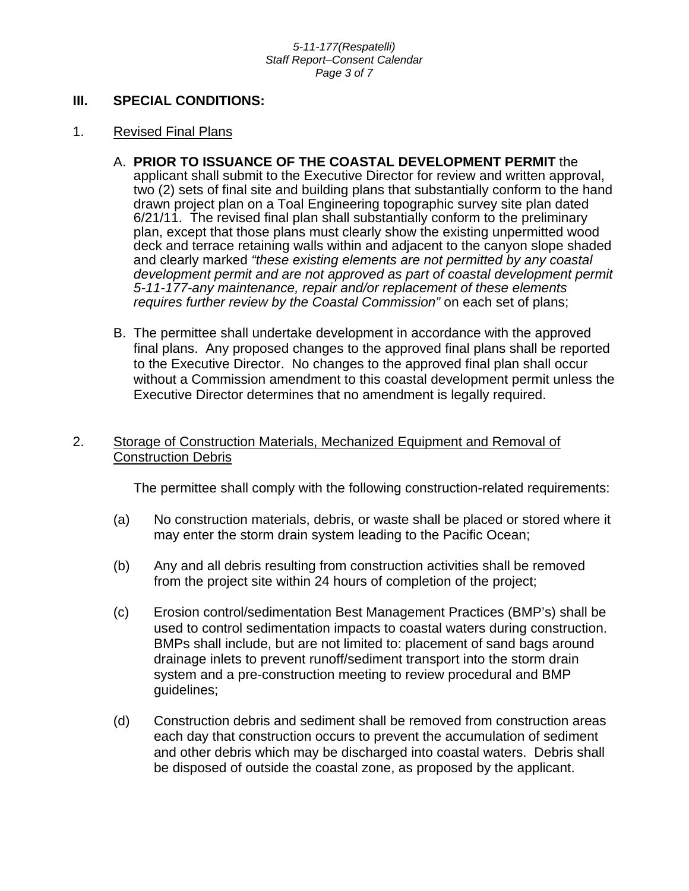#### *5-11-177(Respatelli) Staff Report–Consent Calendar Page 3 of 7*

## **III. SPECIAL CONDITIONS:**

### 1. Revised Final Plans

- A. **PRIOR TO ISSUANCE OF THE COASTAL DEVELOPMENT PERMIT** the applicant shall submit to the Executive Director for review and written approval, two (2) sets of final site and building plans that substantially conform to the hand drawn project plan on a Toal Engineering topographic survey site plan dated 6/21/11. The revised final plan shall substantially conform to the preliminary plan, except that those plans must clearly show the existing unpermitted wood deck and terrace retaining walls within and adjacent to the canyon slope shaded and clearly marked *"these existing elements are not permitted by any coastal*  development permit and are not approved as part of coastal development permit *5-11-177-any maintenance, repair and/or replacement of these elements requires further review by the Coastal Commission"* on each set of plans;
- B. The permittee shall undertake development in accordance with the approved final plans. Any proposed changes to the approved final plans shall be reported to the Executive Director. No changes to the approved final plan shall occur without a Commission amendment to this coastal development permit unless the Executive Director determines that no amendment is legally required.

## 2. Storage of Construction Materials, Mechanized Equipment and Removal of Construction Debris

The permittee shall comply with the following construction-related requirements:

- (a) No construction materials, debris, or waste shall be placed or stored where it may enter the storm drain system leading to the Pacific Ocean;
- (b) Any and all debris resulting from construction activities shall be removed from the project site within 24 hours of completion of the project;
- (c) Erosion control/sedimentation Best Management Practices (BMP's) shall be used to control sedimentation impacts to coastal waters during construction. BMPs shall include, but are not limited to: placement of sand bags around drainage inlets to prevent runoff/sediment transport into the storm drain system and a pre-construction meeting to review procedural and BMP guidelines;
- (d) Construction debris and sediment shall be removed from construction areas each day that construction occurs to prevent the accumulation of sediment and other debris which may be discharged into coastal waters. Debris shall be disposed of outside the coastal zone, as proposed by the applicant.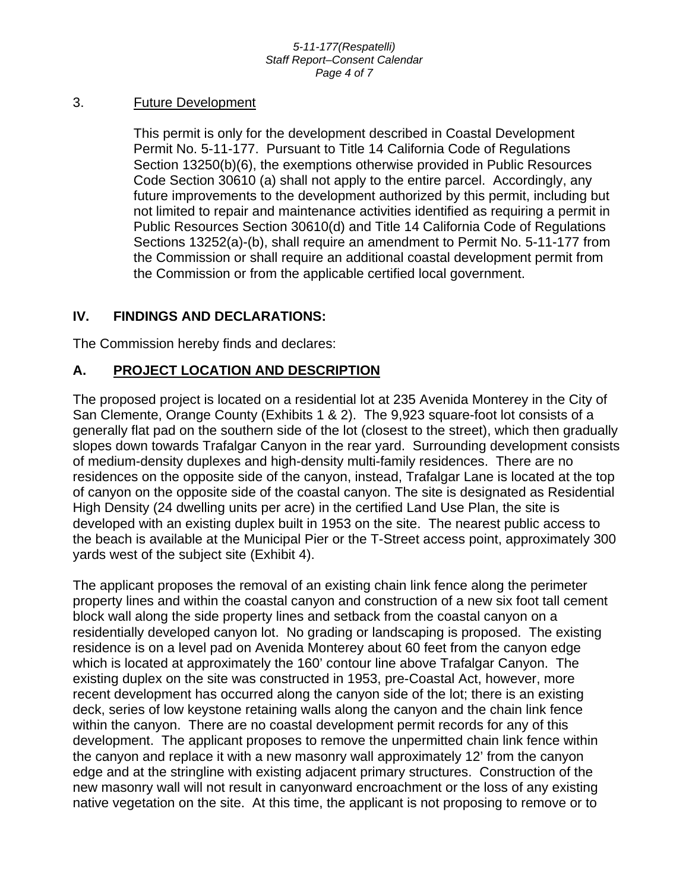#### *5-11-177(Respatelli) Staff Report–Consent Calendar Page 4 of 7*

## 3. Future Development

This permit is only for the development described in Coastal Development Permit No. 5-11-177. Pursuant to Title 14 California Code of Regulations Section 13250(b)(6), the exemptions otherwise provided in Public Resources Code Section 30610 (a) shall not apply to the entire parcel. Accordingly, any future improvements to the development authorized by this permit, including but not limited to repair and maintenance activities identified as requiring a permit in Public Resources Section 30610(d) and Title 14 California Code of Regulations Sections 13252(a)-(b), shall require an amendment to Permit No. 5-11-177 from the Commission or shall require an additional coastal development permit from the Commission or from the applicable certified local government.

## **IV. FINDINGS AND DECLARATIONS:**

The Commission hereby finds and declares:

# **A. PROJECT LOCATION AND DESCRIPTION**

The proposed project is located on a residential lot at 235 Avenida Monterey in the City of San Clemente, Orange County (Exhibits 1 & 2). The 9,923 square-foot lot consists of a generally flat pad on the southern side of the lot (closest to the street), which then gradually slopes down towards Trafalgar Canyon in the rear yard. Surrounding development consists of medium-density duplexes and high-density multi-family residences. There are no residences on the opposite side of the canyon, instead, Trafalgar Lane is located at the top of canyon on the opposite side of the coastal canyon. The site is designated as Residential High Density (24 dwelling units per acre) in the certified Land Use Plan, the site is developed with an existing duplex built in 1953 on the site. The nearest public access to the beach is available at the Municipal Pier or the T-Street access point, approximately 300 yards west of the subject site (Exhibit 4).

The applicant proposes the removal of an existing chain link fence along the perimeter property lines and within the coastal canyon and construction of a new six foot tall cement block wall along the side property lines and setback from the coastal canyon on a residentially developed canyon lot. No grading or landscaping is proposed. The existing residence is on a level pad on Avenida Monterey about 60 feet from the canyon edge which is located at approximately the 160' contour line above Trafalgar Canyon. The existing duplex on the site was constructed in 1953, pre-Coastal Act, however, more recent development has occurred along the canyon side of the lot; there is an existing deck, series of low keystone retaining walls along the canyon and the chain link fence within the canyon. There are no coastal development permit records for any of this development. The applicant proposes to remove the unpermitted chain link fence within the canyon and replace it with a new masonry wall approximately 12' from the canyon edge and at the stringline with existing adjacent primary structures. Construction of the new masonry wall will not result in canyonward encroachment or the loss of any existing native vegetation on the site. At this time, the applicant is not proposing to remove or to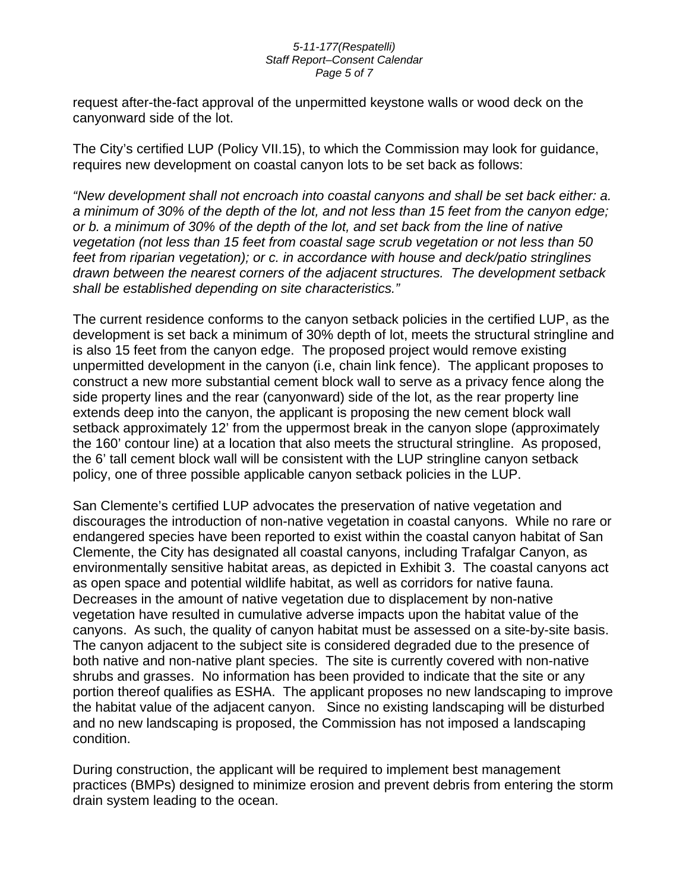#### *5-11-177(Respatelli) Staff Report–Consent Calendar Page 5 of 7*

request after-the-fact approval of the unpermitted keystone walls or wood deck on the canyonward side of the lot.

The City's certified LUP (Policy VII.15), to which the Commission may look for guidance, requires new development on coastal canyon lots to be set back as follows:

*"New development shall not encroach into coastal canyons and shall be set back either: a. a minimum of 30% of the depth of the lot, and not less than 15 feet from the canyon edge; or b. a minimum of 30% of the depth of the lot, and set back from the line of native vegetation (not less than 15 feet from coastal sage scrub vegetation or not less than 50 feet from riparian vegetation); or c. in accordance with house and deck/patio stringlines drawn between the nearest corners of the adjacent structures. The development setback shall be established depending on site characteristics."* 

The current residence conforms to the canyon setback policies in the certified LUP, as the development is set back a minimum of 30% depth of lot, meets the structural stringline and is also 15 feet from the canyon edge. The proposed project would remove existing unpermitted development in the canyon (i.e, chain link fence). The applicant proposes to construct a new more substantial cement block wall to serve as a privacy fence along the side property lines and the rear (canyonward) side of the lot, as the rear property line extends deep into the canyon, the applicant is proposing the new cement block wall setback approximately 12' from the uppermost break in the canyon slope (approximately the 160' contour line) at a location that also meets the structural stringline. As proposed, the 6' tall cement block wall will be consistent with the LUP stringline canyon setback policy, one of three possible applicable canyon setback policies in the LUP.

San Clemente's certified LUP advocates the preservation of native vegetation and discourages the introduction of non-native vegetation in coastal canyons. While no rare or endangered species have been reported to exist within the coastal canyon habitat of San Clemente, the City has designated all coastal canyons, including Trafalgar Canyon, as environmentally sensitive habitat areas, as depicted in Exhibit 3. The coastal canyons act as open space and potential wildlife habitat, as well as corridors for native fauna. Decreases in the amount of native vegetation due to displacement by non-native vegetation have resulted in cumulative adverse impacts upon the habitat value of the canyons. As such, the quality of canyon habitat must be assessed on a site-by-site basis. The canyon adjacent to the subject site is considered degraded due to the presence of both native and non-native plant species. The site is currently covered with non-native shrubs and grasses. No information has been provided to indicate that the site or any portion thereof qualifies as ESHA. The applicant proposes no new landscaping to improve the habitat value of the adjacent canyon. Since no existing landscaping will be disturbed and no new landscaping is proposed, the Commission has not imposed a landscaping condition.

During construction, the applicant will be required to implement best management practices (BMPs) designed to minimize erosion and prevent debris from entering the storm drain system leading to the ocean.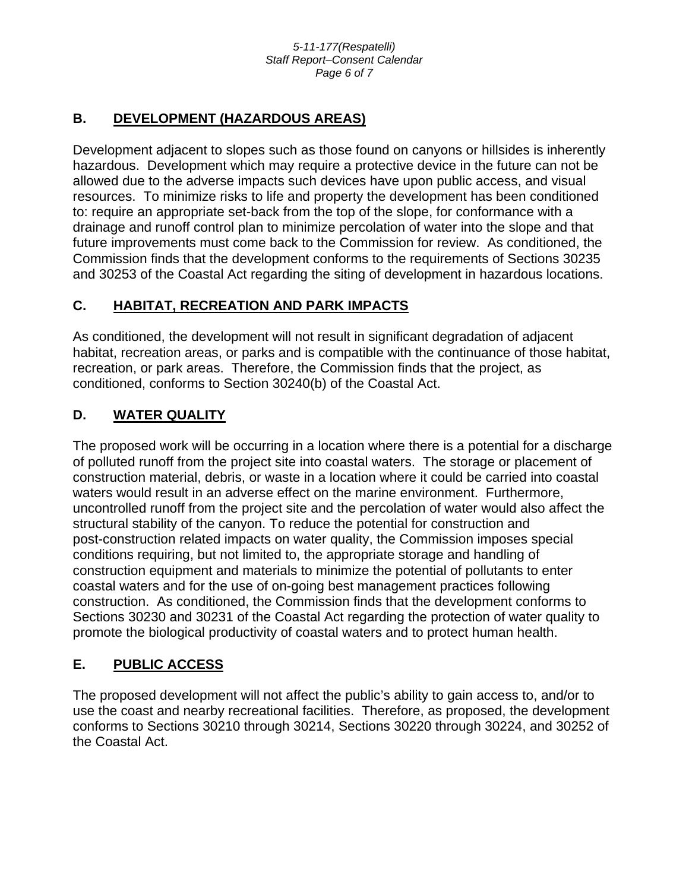# **B. DEVELOPMENT (HAZARDOUS AREAS)**

Development adjacent to slopes such as those found on canyons or hillsides is inherently hazardous. Development which may require a protective device in the future can not be allowed due to the adverse impacts such devices have upon public access, and visual resources. To minimize risks to life and property the development has been conditioned to: require an appropriate set-back from the top of the slope, for conformance with a drainage and runoff control plan to minimize percolation of water into the slope and that future improvements must come back to the Commission for review. As conditioned, the Commission finds that the development conforms to the requirements of Sections 30235 and 30253 of the Coastal Act regarding the siting of development in hazardous locations.

# **C. HABITAT, RECREATION AND PARK IMPACTS**

As conditioned, the development will not result in significant degradation of adjacent habitat, recreation areas, or parks and is compatible with the continuance of those habitat, recreation, or park areas. Therefore, the Commission finds that the project, as conditioned, conforms to Section 30240(b) of the Coastal Act.

# **D. WATER QUALITY**

The proposed work will be occurring in a location where there is a potential for a discharge of polluted runoff from the project site into coastal waters. The storage or placement of construction material, debris, or waste in a location where it could be carried into coastal waters would result in an adverse effect on the marine environment. Furthermore, uncontrolled runoff from the project site and the percolation of water would also affect the structural stability of the canyon. To reduce the potential for construction and post-construction related impacts on water quality, the Commission imposes special conditions requiring, but not limited to, the appropriate storage and handling of construction equipment and materials to minimize the potential of pollutants to enter coastal waters and for the use of on-going best management practices following construction. As conditioned, the Commission finds that the development conforms to Sections 30230 and 30231 of the Coastal Act regarding the protection of water quality to promote the biological productivity of coastal waters and to protect human health.

# **E. PUBLIC ACCESS**

The proposed development will not affect the public's ability to gain access to, and/or to use the coast and nearby recreational facilities. Therefore, as proposed, the development conforms to Sections 30210 through 30214, Sections 30220 through 30224, and 30252 of the Coastal Act.